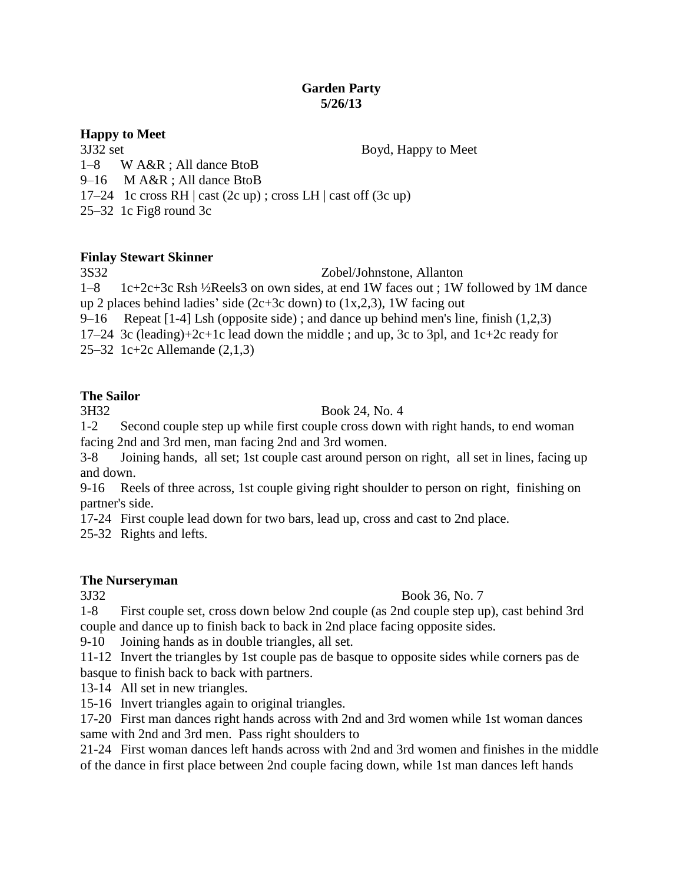### **Garden Party 5/26/13**

## **Happy to Meet**

3J32 set Boyd, Happy to Meet

1–8 W A&R ; All dance BtoB

9–16 M A&R ; All dance BtoB

17–24 1c cross RH  $\vert$  cast (2c up) ; cross LH  $\vert$  cast off (3c up)

25–32 1c Fig8 round 3c

## **Finlay Stewart Skinner**

3S32 Zobel/Johnstone, Allanton

1–8 1c+2c+3c Rsh ½Reels3 on own sides, at end 1W faces out ; 1W followed by 1M dance up 2 places behind ladies' side (2c+3c down) to  $(1x,2,3)$ , 1W facing out

9–16 Repeat  $[1-4]$  Lsh (opposite side); and dance up behind men's line, finish  $(1,2,3)$ 

17–24 3c (leading)+2c+1c lead down the middle ; and up, 3c to 3pl, and 1c+2c ready for

25–32 1c+2c Allemande (2,1,3)

# **The Sailor**

## 3H32 Book 24, No. 4

1-2 Second couple step up while first couple cross down with right hands, to end woman facing 2nd and 3rd men, man facing 2nd and 3rd women.

3-8 Joining hands, all set; 1st couple cast around person on right, all set in lines, facing up and down.

9-16 Reels of three across, 1st couple giving right shoulder to person on right, finishing on partner's side.

17-24 First couple lead down for two bars, lead up, cross and cast to 2nd place.

25-32 Rights and lefts.

## **The Nurseryman**

## 3J32 Book 36, No. 7

1-8 First couple set, cross down below 2nd couple (as 2nd couple step up), cast behind 3rd couple and dance up to finish back to back in 2nd place facing opposite sides.

9-10 Joining hands as in double triangles, all set.

11-12 Invert the triangles by 1st couple pas de basque to opposite sides while corners pas de basque to finish back to back with partners.

13-14 All set in new triangles.

15-16 Invert triangles again to original triangles.

17-20 First man dances right hands across with 2nd and 3rd women while 1st woman dances same with 2nd and 3rd men. Pass right shoulders to

21-24 First woman dances left hands across with 2nd and 3rd women and finishes in the middle of the dance in first place between 2nd couple facing down, while 1st man dances left hands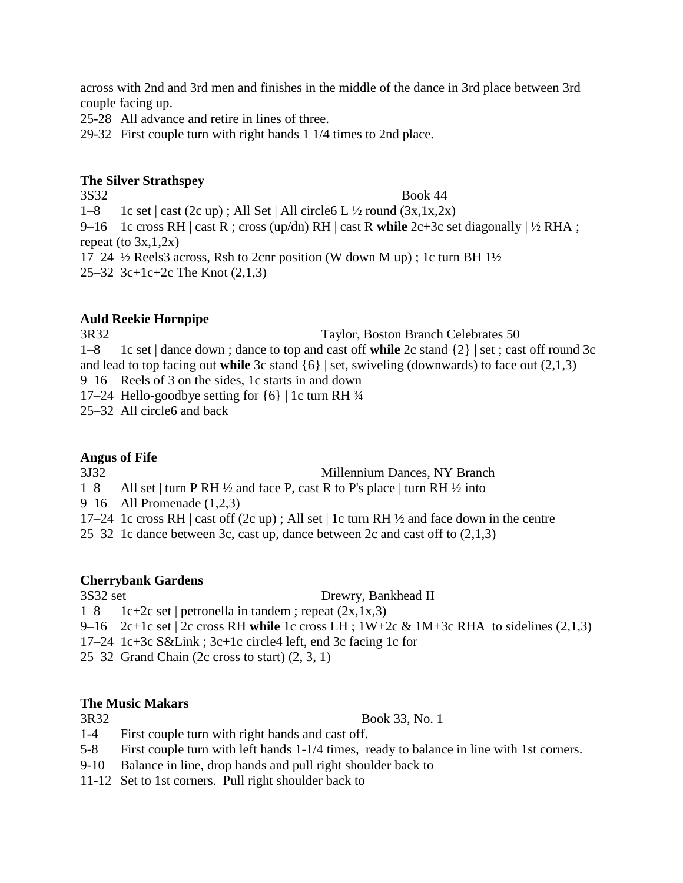across with 2nd and 3rd men and finishes in the middle of the dance in 3rd place between 3rd couple facing up.

25-28 All advance and retire in lines of three.

29-32 First couple turn with right hands 1 1/4 times to 2nd place.

### **The Silver Strathspey**

3S32 Book 44 1–8 1c set  $|\text{ cast}(2c \text{ up})$ ; All Set  $|\text{All circle}6 L\frac{1}{2}$  round  $(3x, 1x, 2x)$ 9–16 1c cross RH | cast R ; cross (up/dn) RH | cast R **while** 2c+3c set diagonally | ½ RHA ; repeat (to  $3x,1,2x$ ) 17–24  $\frac{1}{2}$  Reels3 across, Rsh to 2cnr position (W down M up); 1c turn BH 1 $\frac{1}{2}$ 25–32 3c+1c+2c The Knot (2,1,3)

## **Auld Reekie Hornpipe**

3R32 Taylor, Boston Branch Celebrates 50 1–8 1c set | dance down ; dance to top and cast off **while** 2c stand {2} | set ; cast off round 3c and lead to top facing out **while** 3c stand  $\{6\}$  | set, swiveling (downwards) to face out  $(2,1,3)$ 9–16 Reels of 3 on the sides, 1c starts in and down 17–24 Hello-goodbye setting for {6} | 1c turn RH ¾ 25–32 All circle6 and back

#### **Angus of Fife**

3J32 Millennium Dances, NY Branch

1–8 All set | turn P RH  $\frac{1}{2}$  and face P, cast R to P's place | turn RH  $\frac{1}{2}$  into

9–16 All Promenade (1,2,3)

17–24 1c cross RH  $\vert$  cast off (2c up); All set  $\vert$  1c turn RH  $\frac{1}{2}$  and face down in the centre

25–32 1c dance between 3c, cast up, dance between 2c and cast off to (2,1,3)

#### **Cherrybank Gardens**

3S32 set Drewry, Bankhead II

- 1–8 1c+2c set | petronella in tandem ; repeat  $(2x, 1x, 3)$
- 9–16 2c+1c set | 2c cross RH **while** 1c cross LH ; 1W+2c & 1M+3c RHA to sidelines (2,1,3)

17–24 1c+3c S&Link ; 3c+1c circle4 left, end 3c facing 1c for

25–32 Grand Chain (2c cross to start) (2, 3, 1)

## **The Music Makars**

3R32 Book 33, No. 1

- 1-4 First couple turn with right hands and cast off.
- 5-8 First couple turn with left hands 1-1/4 times, ready to balance in line with 1st corners.
- 9-10 Balance in line, drop hands and pull right shoulder back to
- 11-12 Set to 1st corners. Pull right shoulder back to